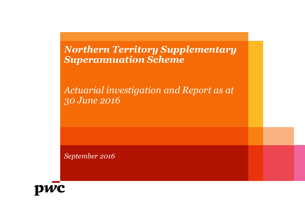*Northern Territory Supplementary Superannuation Scheme*

*Actuarial investigation and Report as at 30 June 2016*

*September 2016*

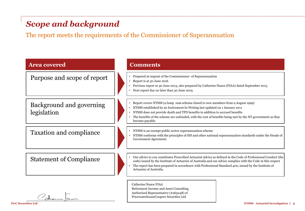## *Scope and background*

The report meets the requirements of the Commissioner of Superannuation

| <b>Area covered</b>                     | <b>Comments</b>                                                                                                                                                                                                                                                                                                                                                                     |  |
|-----------------------------------------|-------------------------------------------------------------------------------------------------------------------------------------------------------------------------------------------------------------------------------------------------------------------------------------------------------------------------------------------------------------------------------------|--|
| Purpose and scope of report             | Prepared at request of the Commissioner of Superannuation<br>Report is at 30 June 2016<br>Previous report at 30 June 2013, also prepared by Catherine Nance (FIAA) dated September 2013<br>$\bullet$<br>Next report due no later than 30 June 2019.<br>$\bullet$                                                                                                                    |  |
| Background and governing<br>legislation | • Report covers NTSSS (a lump sum scheme closed to new members from 9 August 1999)<br>NTSSS established by an Instrument In Writing last updated on 1 January 2011<br>NTSSS does not provide death and TPD benefits in addition to accrued benefits<br>The benefits of the scheme are unfunded, with the cost of benefits being met by the NT government as they<br>become payable. |  |
| <b>Taxation and compliance</b>          | NTSSS is an exempt public sector superannuation scheme<br>$\bullet$<br>NTSSS conforms with the principles of SIS and other national superannuation standards under the Heads of<br>Government Agreement.                                                                                                                                                                            |  |
| <b>Statement of Compliance</b>          | Our advice to you constitutes Prescribed Actuarial Advice as defined in the Code of Professional Conduct (the<br>code) issued by the Institute of Actuaries of Australia and our advice complies with the Code in this respect<br>The report has been prepared in accordance with Professional Standard 400, issued by the Institute of<br>Actuaries of Australia.                  |  |
| $\sim$                                  | <b>Catherine Nance FIAA</b><br>Retirement Income and Asset Consulting<br>Authorised Representative (#265248) of                                                                                                                                                                                                                                                                     |  |

PricewaterhouseCoopers Securities Ltd

Shem Jame

**PwC Securities Ltd NTSSS -** Actuarial Investigation | 2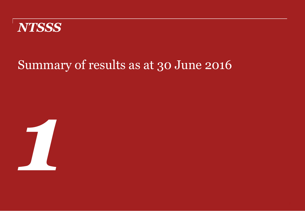

# Summary of results as at 30 June 2016

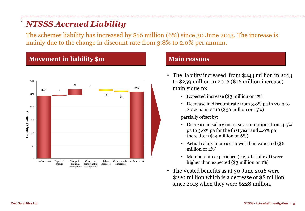## *NTSSS Accrued Liability*

The schemes liability has increased by \$16 million (6%) since 30 June 2013. The increase is mainly due to the change in discount rate from 3.8% to 2.0% per annum.

### **Movement in liability \$m Main reasons**



- The liability increased from \$243 million in 2013 to \$259 million in 2016 (\$16 million increase) mainly due to:
	- Expected increase (\$3 million or 1%)
	- Decrease in discount rate from 3.8% pa in 2013 to 2.0% pa in 2016 (\$36 million or 15%)

partially offset by;

- Decrease in salary increase assumptions from 4.5% pa to 3.0% pa for the first year and 4.0% pa thereafter (\$14 million or 6%)
- Actual salary increases lower than expected (\$6 million or 2%)
- Membership experience (e.g rates of exit) were higher than expected (\$3 million or 1%)
- The Vested benefits as at 30 June 2016 were \$220 million which is a decrease of \$8 million since 2013 when they were \$228 million.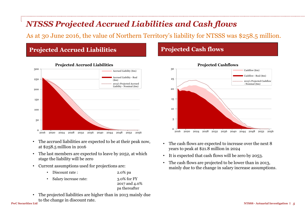## *NTSSS Projected Accrued Liabilities and Cash flows*

As at 30 June 2016, the value of Northern Territory's liability for NTSSS was \$258.5 million.

### **Projected Accrued Liabilities**



### **Projected Accrued Liabilities**

- The accrued liabilities are expected to be at their peak now, at \$258.5 million in 2016
- The last members are expected to leave by 2052, at which stage the liability will be zero
- Current assumptions used for projections are:
	- Discount rate : 2.0% pa
	- Salary increase rate: 3.0% for FY

### 2017 and 4.0% pa thereafter

• The projected liabilities are higher than in 2013 mainly due to the change in discount rate.

### **Projected Cash flows**



- The cash flows are expected to increase over the next 8 years to peak at \$21.8 million in 2024
- It is expected that cash flows will be zero by 2053.
- The cash flows are projected to be lower than in 2013, mainly due to the change in salary increase assumptions.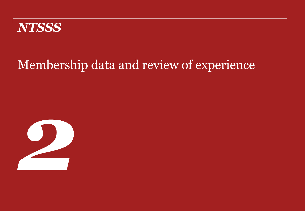

# Membership data and review of experience

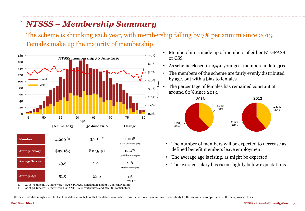## *NTSSS – Membership Summary*

The scheme is shrinking each year, with membership falling by 7% per annum since 2013. Females make up the majority of membership.

Contribution



- Membership is made up of members of either NTGPASS or CSS
- As scheme closed in 1999, youngest members in late 30s
- The members of the scheme are fairly evenly distributed by age, but with a bias to females
- The percentage of females has remained constant at around 60% since 2013.



- The number of members will be expected to decrease as defined benefit members leave employment
- The average age is rising, as might be expected
- The average salary has risen slightly below expectations

1. As at 30 June 2013, there were 3,829 NTGPASS contributors and 380 CSS contributors 2. As at 30 June 2016, there were 2,982 NTGPASS contributors and 219 CSS contributors

We have undertaken high level checks of the data and we believe that the data is reasonable. However, we do not assume any responsibility for the accuracy or completeness of the data provided to us.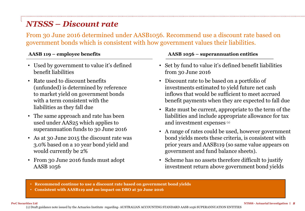## *NTSSS – Discount rate*

From 30 June 2016 determined under AASB1056. Recommend use a discount rate based on government bonds which is consistent with how government values their liabilities.

- Used by government to value it's defined benefit liabilities
- Rate used to discount benefits (unfunded) is determined by reference to market yield on government bonds with a term consistent with the liabilities as they fall due
- The same approach and rate has been used under AAS25 which applies to superannuation funds to 30 June 2016
- As at 30 June 2015 the discount rate was 3.0% based on a 10 year bond yield and would currently be 2%
- From 30 June 2016 funds must adopt AASB 1056

### **AASB 119 – employee benefits AASB 1056 – superannuation entities**

- Set by fund to value it's defined benefit liabilities from 30 June 2016
- Discount rate to be based on a portfolio of investments estimated to yield future net cash inflows that would be sufficient to meet accrued benefit payments when they are expected to fall due
- Rate must be current, appropriate to the term of the liabilities and include appropriate allowance for tax and investment expenses (1)
- A range of rates could be used, however government bond yields meets these criteria, is consistent with prior years and AASB119 (so same value appears on government and fund balance sheets).
- Scheme has no assets therefore difficult to justify investment return above government bond yields
- **Recommend continue to use a discount rate based on government bond yields**
- **Consistent with AASB119 and no impact on DBO at 30 June 2016**

(1) Draft guidance note issued by the Actuaries Institute regarding- AUSTRALIAN ACCOUNTING STANDARD AASB 1056 SUPERANNUATION ENTITIES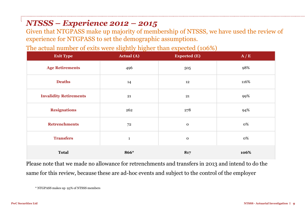## *NTSSS – Experience 2012 – 2015*

Given that NTGPASS make up majority of membership of NTSSS, we have used the review of experience for NTGPASS to set the demographic assumptions.

The actual number of exits were slightly higher than expected (106%)

| <b>Exit Type</b>              | <b>Actual</b> (A) | <b>Expected (E)</b> | A/E  |
|-------------------------------|-------------------|---------------------|------|
| <b>Age Retirements</b>        | 496               | 505                 | 98%  |
| <b>Deaths</b>                 | 14                | 12                  | 116% |
| <b>Invalidity Retirements</b> | 21                | 21                  | 99%  |
| <b>Resignations</b>           | 262               | 278                 | 94%  |
| <b>Retrenchments</b>          | 72                | $\mathbf 0$         | 0%   |
| <b>Transfers</b>              | $\mathbf{1}$      | $\mathbf 0$         | 0%   |
| <b>Total</b>                  | 866*              | 817                 | 106% |

Please note that we made no allowance for retrenchments and transfers in 2013 and intend to do the same for this review, because these are ad-hoc events and subject to the control of the employer

\* NTGPASS makes up 93% of NTSSS members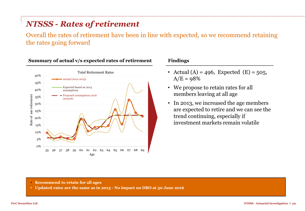## *NTSSS - Rates of retirement*

Overall the rates of retirement have been in line with expected, so we recommend retaining the rates going forward



### **Summary of actual v/s expected rates of retirement Findings**

- Actual (A) = 496, Expected (E) = 505,  $A/E = 98%$
- We propose to retain rates for all members leaving at all age
- In 2013, we increased the age members are expected to retire and we can see the trend continuing, especially if investment markets remain volatile

- **Recommend to retain for all ages**
- **Updated rates are the same as in 2013 - No impact on DBO at 30 June 2016**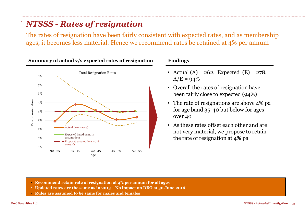## *NTSSS - Rates of resignation*

The rates of resignation have been fairly consistent with expected rates, and as membership ages, it becomes less material. Hence we recommend rates be retained at 4% per annum



### **Summary of actual v/s expected rates of resignation Findings**

- Actual (A) = 262, Expected (E) = 278,  $A/E = 94%$
- Overall the rates of resignation have been fairly close to expected (94%)
- The rate of resignations are above 4% pa for age band 35-40 but below for ages over 40
- As these rates offset each other and are not very material, we propose to retain the rate of resignation at 4% pa

- **Recommend retain rate of resignation at 4% per annum for all ages**
- **Updated rates are the same as in 2013 No impact on DBO at 30 June 2016**
- **Rules are assumed to be same for males and females**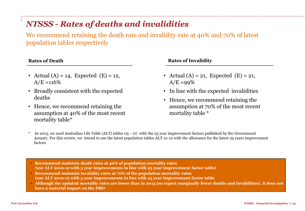## *NTSSS - Rates of deaths and invalidities*

We recommend retaining the death rate and invalidity rate at 40% and 70% of latest population tables respectively

- Actual (A) = 14, Expected (E) = 12,  $A/E = 116%$
- Broadly consistent with the expected deaths
- Hence, we recommend retaining the assumption at 40% of the most recent mortality table\*

### **Rates of Death Rates of Invalidity**

- Actual (A) = 21, Expected (E) = 21,  $A/E = 99\%$
- In line with the expected invalidities
- Hence, we recommend retaining the assumption at 70% of the most recent mortality table \*
- In 2013, we used Australian Life Table (ALT) tables  $0.5 0.07$  with the 25 year improvement factors published by the Government Actuary. For this review, we intend to use the latest population tables ALT 10-12 with the allowance for the latest 25 years improvement factors
- **Recommend maintain death rates at 40% of population mortality rates (use ALT 2010-12 with 5 year improvements in line with 25 year improvement factor table)**
- **Recommend maintain invalidity rates at 70% of the population mortality rates (use ALT 2010-12 with 5 year improvements in line with 25 year improvement factor table**
- **Although the updated mortality rates are lower than in 2013 (so expect marginally fewer deaths and invalidities), it does not have a material impact on the DBO**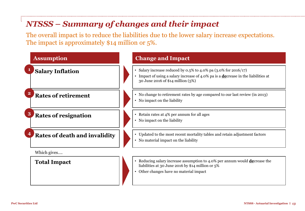## *NTSSS – Summary of changes and their impact*

The overall impact is to reduce the liabilities due to the lower salary increase expectations. The impact is approximately \$14 million or 5%.

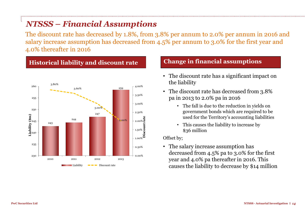## *NTSSS – Financial Assumptions*

The discount rate has decreased by 1.8%, from 3.8% per annum to 2.0% per annum in 2016 and salary increase assumption has decreased from 4.5% per annum to 3.0% for the first year and 4.0% thereafter in 2016

### 243 244 247 259 3.80% 3.60% 3.00% 2.00% 0.00% 0.50%  $_{1.00\%}$ Ā 1.50% 2.00% 2.50% 3.00% 3.50% 4.00% 230 235 240 245 250 255 260 2010 2011 2012 2013 Liability  $\bullet \bullet \bullet$  Discount rate **Discount rate Liability (\$m)**

## **Historical liability and discount rate Change in financial assumptions**

- The discount rate has a significant impact on the liability
- The discount rate has decreased from 3.8% pa in 2013 to 2.0% pa in 2016
	- The fall is due to the reduction in yields on government bonds which are required to be used for the Territory's accounting liabilities
	- This causes the liability to increase by \$36 million

### Offset by;

• The salary increase assumption has decreased from 4.5% pa to 3.0% for the first year and 4.0% pa thereafter in 2016. This causes the liability to decrease by \$14 million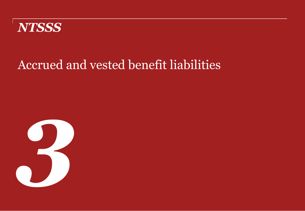

# Accrued and vested benefit liabilities

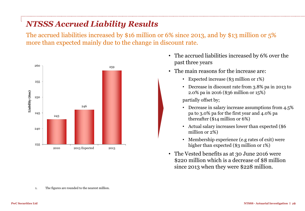## *NTSSS Accrued Liability Results*

The accrued liabilities increased by \$16 million or 6% since 2013, and by \$13 million or 5% more than expected mainly due to the change in discount rate.



- The accrued liabilities increased by 6% over the past three years
- The main reasons for the increase are:
	- Expected increase (\$3 million or 1%)
	- Decrease in discount rate from 3.8% pa in 2013 to 2.0% pa in 2016 (\$36 million or 15%)

partially offset by;

- Decrease in salary increase assumptions from 4.5% pa to 3.0% pa for the first year and 4.0% pa thereafter (\$14 million or 6%)
- Actual salary increases lower than expected (\$6 million or 2%)
- Membership experience (e.g rates of exit) were higher than expected (\$3 million or 1%)
- The Vested benefits as at 30 June 2016 were \$220 million which is a decrease of \$8 million since 2013 when they were \$228 million.

1. The figures are rounded to the nearest million.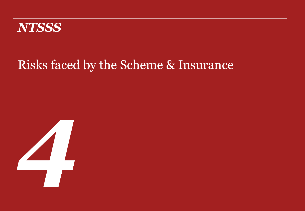

# Risks faced by the Scheme & Insurance

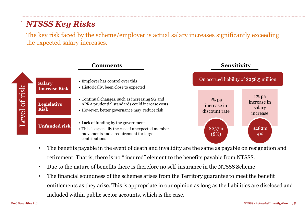## *NTSSS Key Risks*

The key risk faced by the scheme/employer is actual salary increases significantly exceeding the expected salary increases.

|         |                                       | <b>Comments</b>                                                                                                                                     | <b>Sensitivity</b>                       |                                               |
|---------|---------------------------------------|-----------------------------------------------------------------------------------------------------------------------------------------------------|------------------------------------------|-----------------------------------------------|
|         | <b>Salary</b><br><b>Increase Risk</b> | • Employer has control over this<br>• Historically, been close to expected                                                                          | On accrued liability of \$258.5 million  |                                               |
| of risk | <b>Legislative</b><br><b>Risk</b>     | • Continual changes, such as increasing SG and<br>APRA prudential standards could increase costs<br>• However, better governance may reduce risk    | $1\%$ pa<br>increase in<br>discount rate | $1\%$ pa<br>increase in<br>salary<br>increase |
| Level   | <b>Unfunded risk</b>                  | • Lack of funding by the government<br>• This is especially the case if unexpected member<br>movements and a requirement for large<br>contributions | \$237m<br>(8%)                           | \$282m<br>9%                                  |

- The benefits payable in the event of death and invalidity are the same as payable on resignation and retirement. That is, there is no " insured" element to the benefits payable from NTSSS.
- Due to the nature of benefits there is therefore no self-insurance in the NTSSS Scheme
- The financial soundness of the schemes arises from the Territory guarantee to meet the benefit entitlements as they arise. This is appropriate in our opinion as long as the liabilities are disclosed and included within public sector accounts, which is the case.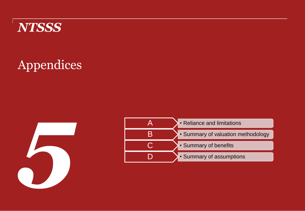

# Appendices



| • Reliance and limitations         |
|------------------------------------|
| · Summary of valuation methodology |
| • Summary of benefits              |
| • Summary of assumptions           |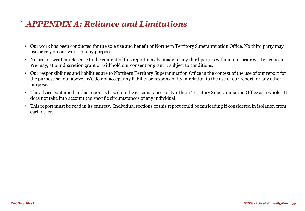## *APPENDIX A: Reliance and Limitations*

- Our work has been conducted for the sole use and benefit of Northern Territory Superannuation Office. No third party may use or rely on our work for any purpose.
- No oral or written reference to the content of this report may be made to any third parties without our prior written consent. We may, at our discretion grant or withhold our consent or grant it subject to conditions.
- Our responsibilities and liabilities are to Northern Territory Superannuation Office in the context of the use of our report for the purpose set out above. We do not accept any liability or responsibility in relation to the use of our report for any other purpose.
- The advice contained in this report is based on the circumstances of Northern Territory Superannuation Office as a whole. It does not take into account the specific circumstances of any individual.
- This report must be read in its entirety. Individual sections of this report could be misleading if considered in isolation from each other.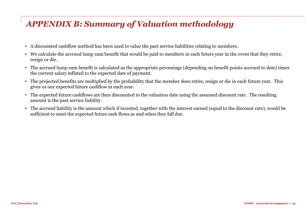## *APPENDIX B: Summary of Valuation methodology*

- A discounted cashflow method has been used to value the past service liabilities relating to members.
- We calculate the accrued lump sum benefit that would be paid to members in each future year in the event that they retire, resign or die.
- The accrued lump sum benefit is calculated as the appropriate percentage (depending on benefit points accrued to date) times the current salary inflated to the expected date of payment.
- The projected benefits are multiplied by the probability that the member does retire, resign or die in each future year. This gives us our expected future cashflow in each year.
- The expected future cashflows are then discounted to the valuation date using the assumed discount rate. The resulting amount is the past service liability.
- The accrued liability is the amount which if invested, together with the interest earned (equal to the discount rate), would be sufficient to meet the expected future cash flows as and when they fall due.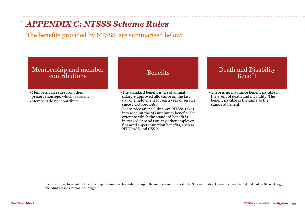## *APPENDIX C: NTSSS Scheme Rules*

The benefits provided by NTSSS are summarised below:

### Membership and member contributions

•Members can retire from their preservation age, which is usually 55 •Members do not contribute.

### Benefits

•The standard benefit is 3% of annual salary + approved allowance on the last day of employment for each year of service since 1 October 1988

•For service after 1 July 1992, NTSSS takes into account the SG minimum benefit. The extent to which the standard benefit is increased depends on any other employerfinanced superannuation benefits, such as NTGPASS and CSS<sup>(1)</sup>.

### Death and Disability Benefit

•There is no insurance benefit payable in the event of death and invalidity. The benefit payable is the same as the standard benefit.

1. Please note, we have not included the Superannuation Guarantee top up in the numbers in the report. The Superannuation Guarantee is explained in detail on the next page, including reasons for not including it.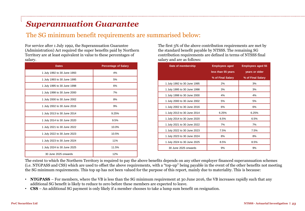## *Superannuation Guarantee*

### The SG minimum benefit requirements are summarised below:

For service after 1 July 1992, the Superannuation Guarantee (Administration) Act required the super benefits paid by Northern Territory are at least equivalent in value to these percentages of salary.

| <b>Dates</b>                | <b>Percentage of Salary</b> |
|-----------------------------|-----------------------------|
| 1 July 1992 to 30 June 1993 | 4%                          |
| 1 July 1993 to 30 June 1995 | 5%                          |
| 1 July 1995 to 30 June 1998 | 6%                          |
| 1 July 1998 to 30 June 2000 | 7%                          |
| 1 July 2000 to 30 June 2002 | 8%                          |
| 1 July 2002 to 30 June 2016 | 9%                          |
| 1 July 2013 to 30 June 2014 | 9.25%                       |
| 1 July 2014 to 30 June 2020 | 9.5%                        |
| 1 July 2021 to 30 June 2022 | 10.0%                       |
| 1 July 2022 to 30 June 2023 | 10.5%                       |
| 1 July 2023 to 30 June 2024 | 11%                         |
| 1 July 2024 to 30 June 2025 | 11.5%                       |
| 30 June 2025 onwards        | 12%                         |

The first 3% of the above contribution requirements are met by the standard benefit payable by NTSSS. The remaining SG contribution requirements are defined in terms of NTSSS final salary and are as follows:

| Date of membership          | <b>Employees aged</b> | <b>Employees aged 55</b> |
|-----------------------------|-----------------------|--------------------------|
|                             | less than 55 years    | years or older           |
|                             | % of Final Salary     | % of Final Salary        |
| 1 July 1992 to 30 June 1995 | 2%                    | 3%                       |
| 1 July 1995 to 30 June 1998 | 3%                    | 3%                       |
| 1 July 1998 to 30 June 2000 | 4%                    | 4%                       |
| 1 July 2000 to 30 June 2002 | 5%                    | 5%                       |
| 1 July 2002 to 30 June 2016 | 6%                    | 6%                       |
| 1 July 2013 to 30 June 2014 | 6.25%                 | 6.25%                    |
| 1 July 2014 to 30 June 2020 | 6.5%                  | 6.5%                     |
| 1 July 2021 to 30 June 2022 | 7%                    | 7%                       |
| 1 July 2022 to 30 June 2023 | 7.5%                  | 7.5%                     |
| 1 July 2023 to 30 June 2024 | 8%                    | 8%                       |
| 1 July 2024 to 30 June 2025 | 8.5%                  | 8.5%                     |
| 30 June 2025 onwards        | 9%                    | 9%                       |

The extent to which the Northern Territory is required to pay the above benefits depends on any other employer financed superannuation schemes (i.e. NTGPASS and CSS) which are used to offset the above requirements, with a "top-up" being payable in the event of the other benefits not meeting the SG minimum requirements. This top up has not been valued for the purpose of this report, mainly due to materiality. This is because:

- **NTGPASS** For members, where the VB is less than the SG minimum requirement at 30 June 2016, the VB increases rapidly such that any additional SG benefit is likely to reduce to zero before these members are expected to leave.
- **CSS** An additional SG payment is only likely if a member chooses to take a lump sum benefit on resignation.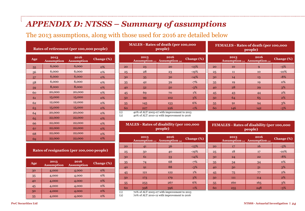## *APPENDIX D: NTSSS – Summary of assumptions*

The 2013 assumptions, along with those used for 2016 are detailed below

### **Rates of retirement (per 100,000 people)**

| Age | 2013<br><b>Assumption</b> | 2016<br><b>Assumption</b> | <b>Change</b> (%) |
|-----|---------------------------|---------------------------|-------------------|
| 55  | 6,000                     | 6,000                     | <b>0%</b>         |
| 56  | 6,000                     | 6,000                     | $0\%$             |
| 57  | 6,000                     | 6,000                     | <b>0%</b>         |
| 58  | 6,000                     | 6,000                     | 0%                |
| 59  | 8,000                     | 8,000                     | $0\%$             |
| 60  | 20,000                    | 20,000                    | 0%                |
| 61  | 15,000                    | 15,000                    | <b>0%</b>         |
| 62  | 12,000                    | 12,000                    | <b>0%</b>         |
| 63  | 15,000                    | 15,000                    | <b>0%</b>         |
| 64  | 20,000                    | 20,000                    | <b>0%</b>         |
| 65  | 22,000                    | 22,000                    | <b>0%</b>         |
| 66  | 22,000                    | 22,000                    | <b>0%</b>         |
| 67  | 22,000                    | 22,000                    | $0\%$             |
| 68  | 22,000                    | 22,000                    | <b>0%</b>         |
| 69  | 22,000                    | 22,000                    | $0\%$             |

 4,000 4,000 0% 35 4,000 4,000 0% 40 4,000 4,000 6% 45 4,000 4,000 6% 4,000 4,000 0% 55 4,000 4,000 6%

**Rates of resignation (per 100,000 people)**

**Assumption Change (%)**

### **MALES - Rates of death (per 100,000 people)**

|         | 2013                                   | 2016<br>Assumption $(1)$ Assumption $(2)$ | <b>Change</b> (%) |
|---------|----------------------------------------|-------------------------------------------|-------------------|
| 20      | 23                                     | 20                                        | $-13%$            |
| 25      | 28                                     | 23                                        | $-19%$            |
| 30      | 35                                     | 30                                        | $-14%$            |
| 35      | 42                                     | 39                                        | $-7%$             |
| 40      | 52                                     | 50                                        | $-3%$             |
| 45      | 69                                     | 70                                        | 1%                |
| 50      | 99                                     | 102                                       | 3%                |
| 55      | 145                                    | 153                                       | 6%                |
| 60      | 227                                    | 226                                       | $-1\%$            |
| $\cdot$ | $1 - 0$ / $\sim$ $0 - 1$ T $\sim$ $-1$ | <b>Arthur Association</b>                 | .                 |

### **FEMALES - Rates of death (per 100,000 people)**

|    | 2013 | 2016<br>Assumption $(1)$ Assumption $(2)$ | Change (%) |
|----|------|-------------------------------------------|------------|
| 20 | 10   | Q                                         | $-3\%$     |
| 25 | 11   | 10                                        | $-10%$     |
| 30 | 14   | 13                                        | $-8%$      |
| 35 | 19   | 19                                        | 0%         |
| 40 | 28   | 29                                        | 3%         |
| 45 | 43   | 44                                        | 2%         |
| 50 | 64   | 65                                        | 2%         |
| 55 | 91   | 94                                        | 3%         |
| 60 | 146  | 142                                       | $-3%$      |

(1) 40% of ALT 2005-07 with improvement to 2013

(2) 40% of ALT 2010-12 with improvement to 2016

### **MALES - Rates of disability (per 100,000 people)**

|        | 2013                                         | 2016<br>Assumption $(i)$ Assumption $(i)$ | Change (%) |
|--------|----------------------------------------------|-------------------------------------------|------------|
| 20     | 41                                           | 36                                        | $-13%$     |
| 25     | 50                                           | 40                                        | $-19%$     |
| 30     | 61                                           | 53                                        | $-14%$     |
| 35     | 74                                           | 68                                        | $-7%$      |
| 40     | 91                                           | 88                                        | $-3%$      |
| 45     | 121                                          | 122                                       | 1%         |
| 50     | 173                                          | 179                                       | 3%         |
| 55     | 253                                          | 267                                       | 6%         |
| 60     | 398                                          | 396                                       | $-1\%$     |
| $\sim$ | $\sim$ $\sim$<br>$\sim$ $\sim$ $\sim$ $\sim$ | $\cdots$                                  |            |

(1) 70% of ALT 2005-07 with improvement to 2013 (2) 70% of ALT 2010-12 with improvement to 2016

**FEMALES - Rates of disability (per 100,000 people)**

|    | 2013 | 2016<br>Assumption $(t)$ Assumption $(t)$ | Change (%) |
|----|------|-------------------------------------------|------------|
| 20 | 17   | 16                                        | $-3\%$     |
| 25 | 18   | 17                                        | $-10\%$    |
| 30 | 24   | 22                                        | $-8%$      |
| 35 | 34   | 34                                        | $0\%$      |
| 40 | 50   | 51                                        | 3%         |
| 45 | 75   | 77                                        | $2\%$      |
| 50 | 111  | 114                                       | 2%         |
| 55 | 160  | 165                                       | 3%         |
| 60 | 255  | 248                                       | $-3%$      |

**Age <sup>2013</sup>**

**Assumption**